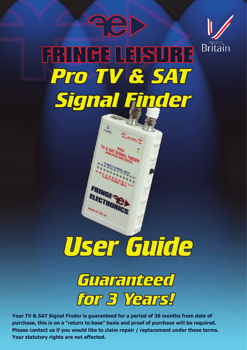

# **FRINGE LEISURE Pro TV & SAT** Signal Finder

**ASP** 



DE IN THE UK



**Your TV & SAT Signal Finder is guaranteed for a period of 36 months from date of purchase, this is on a "return to base" basis and proof of purchase will be required. Please contact us if you would like to claim repair / replacement under these terms. Your statutory rights are not affected.**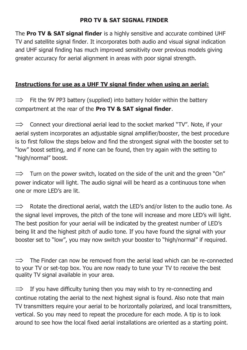#### **PRO TV & SAT SIGNAL FINDER**

The **Pro TV & SAT signal finder** is a highly sensitive and accurate combined UHF TV and satellite signal finder. It incorporates both audio and visual signal indication and UHF signal finding has much improved sensitivity over previous models giving greater accuracy for aerial alignment in areas with poor signal strength.

## **Instructions for use as a UHF TV signal finder when using an aerial:**

 $\Rightarrow$  Fit the 9V PP3 battery (supplied) into battery holder within the battery compartment at the rear of the **Pro TV & SAT signal finder**.

 $\Rightarrow$  Connect your directional aerial lead to the socket marked "TV". Note, if your aerial system incorporates an adjustable signal amplifier/booster, the best procedure is to first follow the steps below and find the strongest signal with the booster set to "low" boost setting, and if none can be found, then try again with the setting to "high/normal" boost.

 $\Rightarrow$  Turn on the power switch, located on the side of the unit and the green "On" power indicator will light. The audio signal will be heard as a continuous tone when one or more LED's are lit.

 $\Rightarrow$  Rotate the directional aerial, watch the LED's and/or listen to the audio tone. As the signal level improves, the pitch of the tone will increase and more LED's will light. The best position for your aerial will be indicated by the greatest number of LED's being lit and the highest pitch of audio tone. If you have found the signal with your booster set to "low", you may now switch your booster to "high/normal" if required.

 $\implies$  The Finder can now be removed from the aerial lead which can be re-connected to your TV or set-top box. You are now ready to tune your TV to receive the best quality TV signal available in your area.

 $\Rightarrow$  If you have difficulty tuning then you may wish to try re-connecting and continue rotating the aerial to the next highest signal is found. Also note that main TV transmitters require your aerial to be horizontally polarized, and local transmitters, vertical. So you may need to repeat the procedure for each mode. A tip is to look around to see how the local fixed aerial installations are oriented as a starting point.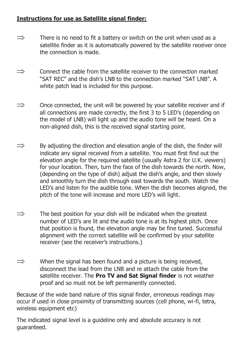#### **Instructions for use as Satellite signal finder:**

- $\Rightarrow$  There is no need to fit a battery or switch on the unit when used as a satellite finder as it is automatically powered by the satellite receiver once the connection is made.
- $\Rightarrow$  Connect the cable from the satellite receiver to the connection marked "SAT REC" and the dish's LNB to the connection marked "SAT LNB". A white patch lead is included for this purpose.
- $\Rightarrow$  Once connected, the unit will be powered by your satellite receiver and if all connections are made correctly, the first 3 to 5 LED's (depending on the model of LNB) will light up and the audio tone will be heard. On a non-aligned dish, this is the received signal starting point.
- $\Rightarrow$  By adjusting the direction and elevation angle of the dish, the finder will indicate any signal received from a satellite. You must first find out the elevation angle for the required satellite (usually Astra 2 for U.K. viewers) for your location. Then, turn the face of the dish towards the north. Now, (depending on the type of dish) adjust the dish's angle, and then slowly and smoothly turn the dish through east towards the south. Watch the LED's and listen for the audible tone. When the dish becomes aligned, the pitch of the tone will increase and more LED's will light.
- $\Rightarrow$  The best position for your dish will be indicated when the greatest number of LED's are lit and the audio tone is at its highest pitch. Once that position is found, the elevation angle may be fine tuned. Successful alignment with the correct satellite will be confirmed by your satellite receiver (see the receiver's instructions.)
- $\Rightarrow$  When the signal has been found and a picture is being received, disconnect the lead from the LNB and re attach the cable from the satellite receiver. The **Pro TV and Sat Signal finder** is not weather proof and so must not be left permanently connected.

Because of the wide band nature of this signal finder, erroneous readings may occur if used in close proximity of transmitting sources (cell phone, wi-fi, tetra, wireless equipment etc)

The indicated signal level is a guideline only and absolute accuracy is not guaranteed.